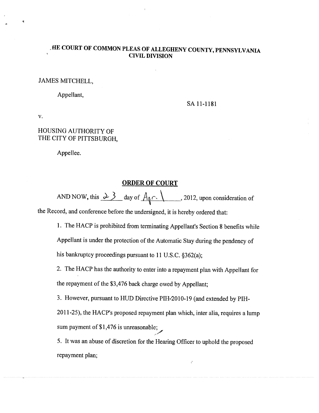## ,fIE COURT OF COMMON PLEAS OF ALLEGHENY COUNTY, PENNSYLVANIA **CIVIL DIVISION**

### JAMES MITCHELL,

Appellant,

SA 11-1181

V.

## HOUSING AUTHORITY OF THE CITY OF PITTSBURGH,

Appellee.

#### ORDER OF COURT

AND NOW, this  $\frac{\lambda}{\lambda}$  day of  $A_0 \cap \lambda$ , 2012, upon consideration of the Record, and conference before the undersigned, it is hereby ordered that:

1. The HACP is prohibited from terminating Appellant's Section <sup>8</sup> benefits while Appellant is under the protection of the Automatic Stay during the pendency of

his bankruptcy proceedings pursuant to <sup>11</sup> U.S.C. §362(a);

2. The HACP has the authority to enter into <sup>a</sup> repayment <sup>p</sup>lan with Appellant for the repayment of the \$3,476 back charge owed by Appellant;

3. However, pursuant to HUD Directive PIH-2010-19 (and extended by PIH-

2011-25), the HACP's proposed repayment <sup>p</sup>lan which, inter alia, requires <sup>a</sup> lump sum payment of \$1,476 is unreasonable;

5. It was an abuse of discretion for the Hearing Officer to uphold the proposed repayment plan;